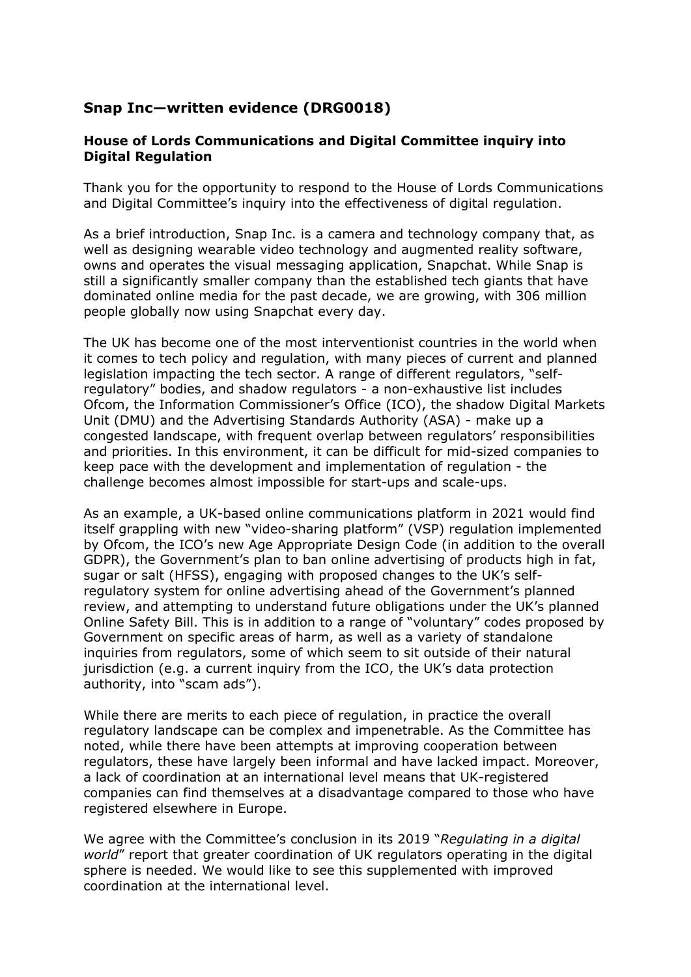# **Snap Inc—written evidence (DRG0018)**

### **House of Lords Communications and Digital Committee inquiry into Digital Regulation**

Thank you for the opportunity to respond to the House of Lords Communications and Digital Committee's inquiry into the effectiveness of digital regulation.

As a brief introduction, Snap Inc. is a camera and technology company that, as well as designing wearable video technology and augmented reality software, owns and operates the visual messaging application, Snapchat. While Snap is still a significantly smaller company than the established tech giants that have dominated online media for the past decade, we are growing, with 306 million people globally now using Snapchat every day.

The UK has become one of the most interventionist countries in the world when it comes to tech policy and regulation, with many pieces of current and planned legislation impacting the tech sector. A range of different regulators, "selfregulatory" bodies, and shadow regulators - a non-exhaustive list includes Ofcom, the Information Commissioner's Office (ICO), the shadow Digital Markets Unit (DMU) and the Advertising Standards Authority (ASA) - make up a congested landscape, with frequent overlap between regulators' responsibilities and priorities. In this environment, it can be difficult for mid-sized companies to keep pace with the development and implementation of regulation - the challenge becomes almost impossible for start-ups and scale-ups.

As an example, a UK-based online communications platform in 2021 would find itself grappling with new "video-sharing platform" (VSP) regulation implemented by Ofcom, the ICO's new Age Appropriate Design Code (in addition to the overall GDPR), the Government's plan to ban online advertising of products high in fat, sugar or salt (HFSS), engaging with proposed changes to the UK's selfregulatory system for online advertising ahead of the Government's planned review, and attempting to understand future obligations under the UK's planned Online Safety Bill. This is in addition to a range of "voluntary" codes proposed by Government on specific areas of harm, as well as a variety of standalone inquiries from regulators, some of which seem to sit outside of their natural jurisdiction (e.g. a current inquiry from the ICO, the UK's data protection authority, into "scam ads").

While there are merits to each piece of regulation, in practice the overall regulatory landscape can be complex and impenetrable. As the Committee has noted, while there have been attempts at improving cooperation between regulators, these have largely been informal and have lacked impact. Moreover, a lack of coordination at an international level means that UK-registered companies can find themselves at a disadvantage compared to those who have registered elsewhere in Europe.

We agree with the Committee's conclusion in its 2019 "*Regulating in a digital world*" report that greater coordination of UK regulators operating in the digital sphere is needed. We would like to see this supplemented with improved coordination at the international level.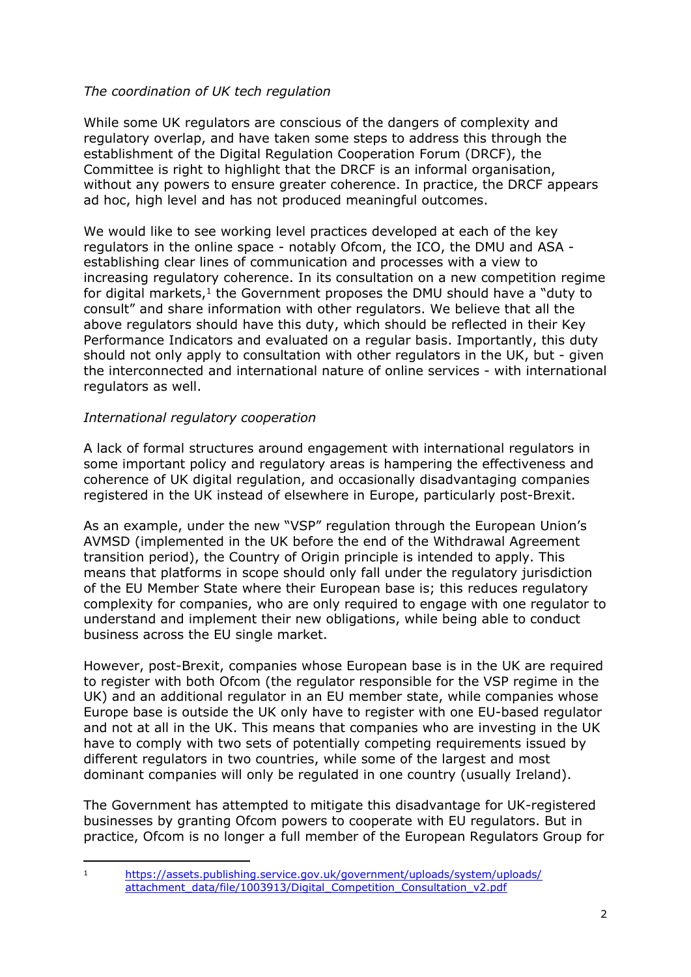## *The coordination of UK tech regulation*

While some UK regulators are conscious of the dangers of complexity and regulatory overlap, and have taken some steps to address this through the establishment of the Digital Regulation Cooperation Forum (DRCF), the Committee is right to highlight that the DRCF is an informal organisation, without any powers to ensure greater coherence. In practice, the DRCF appears ad hoc, high level and has not produced meaningful outcomes.

We would like to see working level practices developed at each of the key regulators in the online space - notably Ofcom, the ICO, the DMU and ASA establishing clear lines of communication and processes with a view to increasing regulatory coherence. In its consultation on a new competition regime for digital markets,<sup>1</sup> the Government proposes the DMU should have a "duty to consult" and share information with other regulators. We believe that all the above regulators should have this duty, which should be reflected in their Key Performance Indicators and evaluated on a regular basis. Importantly, this duty should not only apply to consultation with other regulators in the UK, but - given the interconnected and international nature of online services - with international regulators as well.

### *International regulatory cooperation*

A lack of formal structures around engagement with international regulators in some important policy and regulatory areas is hampering the effectiveness and coherence of UK digital regulation, and occasionally disadvantaging companies registered in the UK instead of elsewhere in Europe, particularly post-Brexit.

As an example, under the new "VSP" regulation through the European Union's AVMSD (implemented in the UK before the end of the Withdrawal Agreement transition period), the Country of Origin principle is intended to apply. This means that platforms in scope should only fall under the regulatory jurisdiction of the EU Member State where their European base is; this reduces regulatory complexity for companies, who are only required to engage with one regulator to understand and implement their new obligations, while being able to conduct business across the EU single market.

However, post-Brexit, companies whose European base is in the UK are required to register with both Ofcom (the regulator responsible for the VSP regime in the UK) and an additional regulator in an EU member state, while companies whose Europe base is outside the UK only have to register with one EU-based regulator and not at all in the UK. This means that companies who are investing in the UK have to comply with two sets of potentially competing requirements issued by different regulators in two countries, while some of the largest and most dominant companies will only be regulated in one country (usually Ireland).

The Government has attempted to mitigate this disadvantage for UK-registered businesses by granting Ofcom powers to cooperate with EU regulators. But in practice, Ofcom is no longer a full member of the European Regulators Group for

<sup>1</sup> [https://assets.publishing.service.gov.uk/government/uploads/system/uploads/](https://assets.publishing.service.gov.uk/government/uploads/system/uploads/attachment_data/file/1003913/Digital_Competition_Consultation_v2.pdf) attachment\_data/file/1003913/Digital\_Competition\_Consultation\_v2.pdf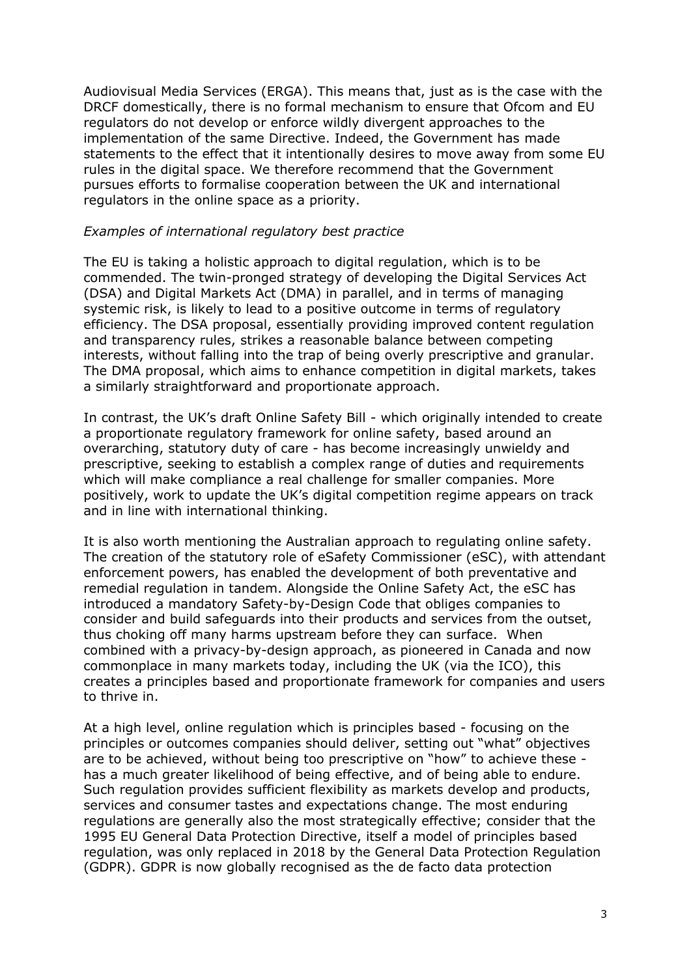Audiovisual Media Services (ERGA). This means that, just as is the case with the DRCF domestically, there is no formal mechanism to ensure that Ofcom and EU regulators do not develop or enforce wildly divergent approaches to the implementation of the same Directive. Indeed, the Government has made statements to the effect that it intentionally desires to move away from some EU rules in the digital space. We therefore recommend that the Government pursues efforts to formalise cooperation between the UK and international regulators in the online space as a priority.

#### *Examples of international regulatory best practice*

The EU is taking a holistic approach to digital regulation, which is to be commended. The twin-pronged strategy of developing the Digital Services Act (DSA) and Digital Markets Act (DMA) in parallel, and in terms of managing systemic risk, is likely to lead to a positive outcome in terms of regulatory efficiency. The DSA proposal, essentially providing improved content regulation and transparency rules, strikes a reasonable balance between competing interests, without falling into the trap of being overly prescriptive and granular. The DMA proposal, which aims to enhance competition in digital markets, takes a similarly straightforward and proportionate approach.

In contrast, the UK's draft Online Safety Bill - which originally intended to create a proportionate regulatory framework for online safety, based around an overarching, statutory duty of care - has become increasingly unwieldy and prescriptive, seeking to establish a complex range of duties and requirements which will make compliance a real challenge for smaller companies. More positively, work to update the UK's digital competition regime appears on track and in line with international thinking.

It is also worth mentioning the Australian approach to regulating online safety. The creation of the statutory role of eSafety Commissioner (eSC), with attendant enforcement powers, has enabled the development of both preventative and remedial regulation in tandem. Alongside the Online Safety Act, the eSC has introduced a mandatory Safety-by-Design Code that obliges companies to consider and build safeguards into their products and services from the outset, thus choking off many harms upstream before they can surface. When combined with a privacy-by-design approach, as pioneered in Canada and now commonplace in many markets today, including the UK (via the ICO), this creates a principles based and proportionate framework for companies and users to thrive in.

At a high level, online regulation which is principles based - focusing on the principles or outcomes companies should deliver, setting out "what" objectives are to be achieved, without being too prescriptive on "how" to achieve these has a much greater likelihood of being effective, and of being able to endure. Such regulation provides sufficient flexibility as markets develop and products, services and consumer tastes and expectations change. The most enduring regulations are generally also the most strategically effective; consider that the 1995 EU General Data Protection Directive, itself a model of principles based regulation, was only replaced in 2018 by the General Data Protection Regulation (GDPR). GDPR is now globally recognised as the de facto data protection